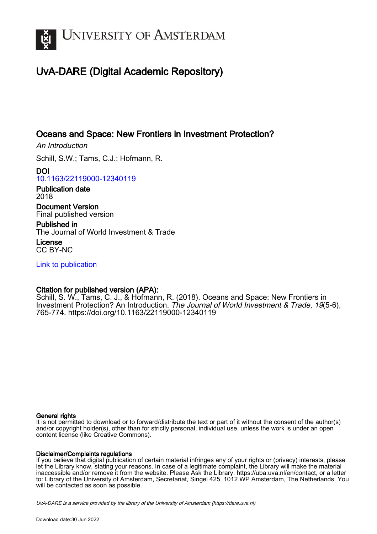

# UvA-DARE (Digital Academic Repository)

## Oceans and Space: New Frontiers in Investment Protection?

An Introduction

Schill, S.W.; Tams, C.J.; Hofmann, R.

DOI [10.1163/22119000-12340119](https://doi.org/10.1163/22119000-12340119)

Publication date 2018

Document Version Final published version

Published in The Journal of World Investment & Trade

License CC BY-NC

[Link to publication](https://dare.uva.nl/personal/pure/en/publications/oceans-and-space-new-frontiers-in-investment-protection(5b520e1c-5a8a-4fd2-9839-bfa3a11b1e21).html)

### Citation for published version (APA):

Schill, S. W., Tams, C. J., & Hofmann, R. (2018). Oceans and Space: New Frontiers in Investment Protection? An Introduction. The Journal of World Investment & Trade, 19(5-6), 765-774. <https://doi.org/10.1163/22119000-12340119>

#### General rights

It is not permitted to download or to forward/distribute the text or part of it without the consent of the author(s) and/or copyright holder(s), other than for strictly personal, individual use, unless the work is under an open content license (like Creative Commons).

#### Disclaimer/Complaints regulations

If you believe that digital publication of certain material infringes any of your rights or (privacy) interests, please let the Library know, stating your reasons. In case of a legitimate complaint, the Library will make the material inaccessible and/or remove it from the website. Please Ask the Library: https://uba.uva.nl/en/contact, or a letter to: Library of the University of Amsterdam, Secretariat, Singel 425, 1012 WP Amsterdam, The Netherlands. You will be contacted as soon as possible.

UvA-DARE is a service provided by the library of the University of Amsterdam (http*s*://dare.uva.nl)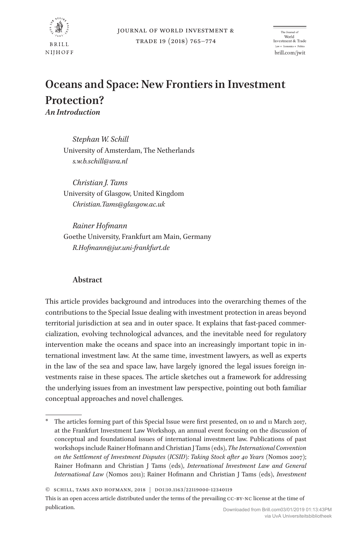

### **Oceans and Space: New Frontiers in Investment Protection?** *An Introduction*

*Stephan W. Schill* University of Amsterdam, The Netherlands *s.w.b.schill@uva.nl*

*Christian J. Tams* University of Glasgow, United Kingdom *Christian.Tams@glasgow.ac.uk*

*Rainer Hofmann* Goethe University, Frankfurt am Main, Germany *R.Hofmann@jur.uni-frankfurt.de*

#### **Abstract**

This article provides background and introduces into the overarching themes of the contributions to the Special Issue dealing with investment protection in areas beyond territorial jurisdiction at sea and in outer space. It explains that fast-paced commercialization, evolving technological advances, and the inevitable need for regulatory intervention make the oceans and space into an increasingly important topic in international investment law. At the same time, investment lawyers, as well as experts in the law of the sea and space law, have largely ignored the legal issues foreign investments raise in these spaces. The article sketches out a framework for addressing the underlying issues from an investment law perspective, pointing out both familiar conceptual approaches and novel challenges.

The articles forming part of this Special Issue were first presented, on 10 and 11 March 2017, at the Frankfurt Investment Law Workshop, an annual event focusing on the discussion of conceptual and foundational issues of international investment law. Publications of past workshops include Rainer Hofmann and Christian J Tams (eds), *The International Convention on the Settlement of Investment Disputes (ICSID): Taking Stock after 40 Years* (Nomos 2007); Rainer Hofmann and Christian J Tams (eds), *International Investment Law and General International Law* (Nomos 2011); Rainer Hofmann and Christian J Tams (eds), *Investment*

<sup>©</sup> Schill, Tams and Hofmann, 2018 | doi:10.1163/22119000-12340119 This is an open access article distributed under the terms of the prevailing CC-BY-NC license at the time of publication.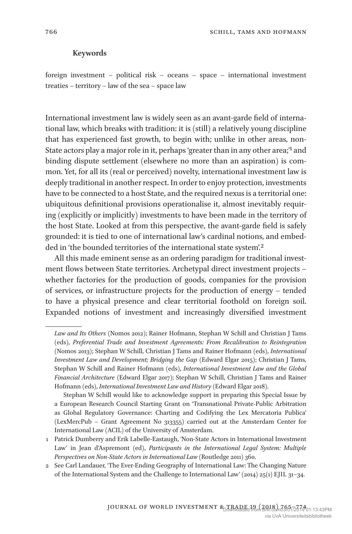#### **Keywords**

foreign investment – political risk – oceans – space – international investment treaties – territory – law of the sea – space law

International investment law is widely seen as an avant-garde field of international law, which breaks with tradition: it is (still) a relatively young discipline that has experienced fast growth, to begin with; unlike in other areas, non-State actors play a major role in it, perhaps 'greater than in any other area;' and binding dispute settlement (elsewhere no more than an aspiration) is common. Yet, for all its (real or perceived) novelty, international investment law is deeply traditional in another respect. In order to enjoy protection, investments have to be connected to a host State, and the required nexus is a territorial one: ubiquitous definitional provisions operationalise it, almost inevitably requiring (explicitly or implicitly) investments to have been made in the territory of the host State. Looked at from this perspective, the avant-garde field is safely grounded: it is tied to one of international law's cardinal notions, and embedded in 'the bounded territories of the international state system'.<sup>2</sup>

All this made eminent sense as an ordering paradigm for traditional investment flows between State territories. Archetypal direct investment projects – whether factories for the production of goods, companies for the provision of services, or infrastructure projects for the production of energy – tended to have a physical presence and clear territorial foothold on foreign soil. Expanded notions of investment and increasingly diversified investment

2 See Carl Landauer, 'The Ever-Ending Geography of International Law: The Changing Nature of the International System and the Challenge to International Law' (2014) 25(1) EJIL 31–34.

*Law and Its Others* (Nomos 2012); Rainer Hofmann, Stephan W Schill and Christian J Tams (eds), *Preferential Trade and Investment Agreements: From Recalibration to Reintegration* (Nomos 2013); Stephan W Schill, Christian J Tams and Rainer Hofmann (eds), *International Investment Law and Development; Bridging the Gap* (Edward Elgar 2015); Christian J Tams, Stephan W Schill and Rainer Hofmann (eds), *International Investment Law and the Global Financial Architecture* (Edward Elgar 2017); Stephan W Schill, Christian J Tams and Rainer Hofmann (eds), *International Investment Law and History* (Edward Elgar 2018).

Stephan W Schill would like to acknowledge support in preparing this Special Issue by a European Research Council Starting Grant on 'Transnational Private-Public Arbitration as Global Regulatory Governance: Charting and Codifying the Lex Mercatoria Publica' (LexMercPub – Grant Agreement No 313355) carried out at the Amsterdam Center for International Law (ACIL) of the University of Amsterdam.

<sup>1</sup> Patrick Dumberry and Erik Labelle-Eastaugh, 'Non-State Actors in International Investment Law' in Jean d'Aspremont (ed), *Participants in the International Legal System: Multiple Perspectives on Non-State Actors in International Law* (Routledge 2011) 360.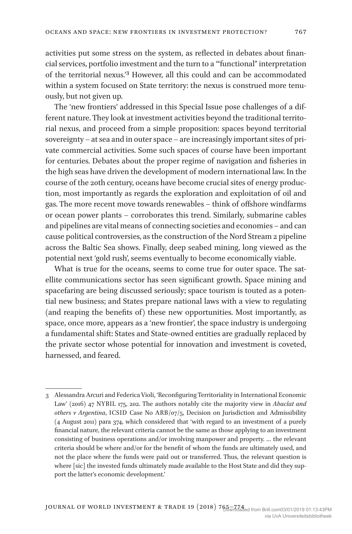activities put some stress on the system, as reflected in debates about financial services, portfolio investment and the turn to a '"functional" interpretation of the territorial nexus.'3 However, all this could and can be accommodated within a system focused on State territory: the nexus is construed more tenuously, but not given up.

The 'new frontiers' addressed in this Special Issue pose challenges of a different nature. They look at investment activities beyond the traditional territorial nexus, and proceed from a simple proposition: spaces beyond territorial sovereignty – at sea and in outer space – are increasingly important sites of private commercial activities. Some such spaces of course have been important for centuries. Debates about the proper regime of navigation and fisheries in the high seas have driven the development of modern international law. In the course of the 20th century, oceans have become crucial sites of energy production, most importantly as regards the exploration and exploitation of oil and gas. The more recent move towards renewables – think of offshore windfarms or ocean power plants – corroborates this trend. Similarly, submarine cables and pipelines are vital means of connecting societies and economies – and can cause political controversies, as the construction of the Nord Stream 2 pipeline across the Baltic Sea shows. Finally, deep seabed mining, long viewed as the potential next 'gold rush', seems eventually to become economically viable.

What is true for the oceans, seems to come true for outer space. The satellite communications sector has seen significant growth. Space mining and spacefaring are being discussed seriously; space tourism is touted as a potential new business; and States prepare national laws with a view to regulating (and reaping the benefits of) these new opportunities. Most importantly, as space, once more, appears as a 'new frontier', the space industry is undergoing a fundamental shift: States and State-owned entities are gradually replaced by the private sector whose potential for innovation and investment is coveted, harnessed, and feared.

<sup>3</sup> Alessandra Arcuri and Federica Violi, 'Reconfiguring Territoriality in International Economic Law' (2016) 47 NYBIL 175, 202. The authors notably cite the majority view in *Abaclat and others v Argentina*, ICSID Case No ARB/07/5, Decision on Jurisdiction and Admissibility (4 August 2011) para 374, which considered that 'with regard to an investment of a purely financial nature, the relevant criteria cannot be the same as those applying to an investment consisting of business operations and/or involving manpower and property. … the relevant criteria should be where and/or for the benefit of whom the funds are ultimately used, and not the place where the funds were paid out or transferred. Thus, the relevant question is where [sic] the invested funds ultimately made available to the Host State and did they support the latter's economic development.'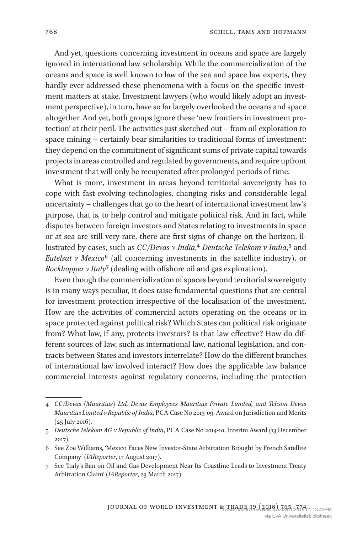And yet, questions concerning investment in oceans and space are largely ignored in international law scholarship. While the commercialization of the oceans and space is well known to law of the sea and space law experts, they hardly ever addressed these phenomena with a focus on the specific investment matters at stake. Investment lawyers (who would likely adopt an investment perspective), in turn, have so far largely overlooked the oceans and space altogether. And yet, both groups ignore these 'new frontiers in investment protection' at their peril. The activities just sketched out – from oil exploration to space mining – certainly bear similarities to traditional forms of investment: they depend on the commitment of significant sums of private capital towards projects in areas controlled and regulated by governments, and require upfront investment that will only be recuperated after prolonged periods of time.

What is more, investment in areas beyond territorial sovereignty has to cope with fast-evolving technologies, changing risks and considerable legal uncertainty – challenges that go to the heart of international investment law's purpose, that is, to help control and mitigate political risk. And in fact, while disputes between foreign investors and States relating to investments in space or at sea are still very rare, there are first signs of change on the horizon, illustrated by cases, such as *CC/Devas v India*,4 *Deutsche Telekom v India*,5 and *Eutelsat v Mexico*6 (all concerning investments in the satellite industry), or *Rockhopper v Italy*7 (dealing with offshore oil and gas exploration).

Even though the commercialization of spaces beyond territorial sovereignty is in many ways peculiar, it does raise fundamental questions that are central for investment protection irrespective of the localisation of the investment. How are the activities of commercial actors operating on the oceans or in space protected against political risk? Which States can political risk originate from? What law, if any, protects investors? Is that law effective? How do different sources of law, such as international law, national legislation, and contracts between States and investors interrelate? How do the different branches of international law involved interact? How does the applicable law balance commercial interests against regulatory concerns, including the protection

<sup>4</sup> *CC/Devas (Mauritius) Ltd, Devas Employees Mauritius Private Limited, and Telcom Devas Mauritius Limited v Republic of India*, PCA Case No 2013-09, Award on Jurisdiction and Merits  $(25$  July 2016).

<sup>5</sup> *Deutsche Telekom AG v Republic of India*, PCA Case No 2014-10, Interim Award (13 December 2017).

<sup>6</sup> See Zoe Williams, 'Mexico Faces New Investor-State Arbitration Brought by French Satellite Company' (*IAReporter*, 17 August 2017).

<sup>7</sup> See 'Italy's Ban on Oil and Gas Development Near Its Coastline Leads to Investment Treaty Arbitration Claim' (*IAReporter*, 23 March 2017).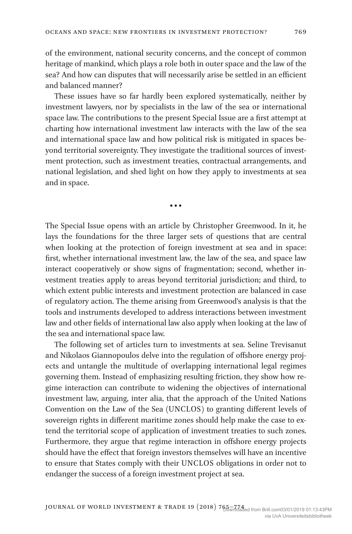of the environment, national security concerns, and the concept of common heritage of mankind, which plays a role both in outer space and the law of the sea? And how can disputes that will necessarily arise be settled in an efficient and balanced manner?

These issues have so far hardly been explored systematically, neither by investment lawyers, nor by specialists in the law of the sea or international space law. The contributions to the present Special Issue are a first attempt at charting how international investment law interacts with the law of the sea and international space law and how political risk is mitigated in spaces beyond territorial sovereignty. They investigate the traditional sources of investment protection, such as investment treaties, contractual arrangements, and national legislation, and shed light on how they apply to investments at sea and in space.

…

The Special Issue opens with an article by Christopher Greenwood. In it, he lays the foundations for the three larger sets of questions that are central when looking at the protection of foreign investment at sea and in space: first, whether international investment law, the law of the sea, and space law interact cooperatively or show signs of fragmentation; second, whether investment treaties apply to areas beyond territorial jurisdiction; and third, to which extent public interests and investment protection are balanced in case of regulatory action. The theme arising from Greenwood's analysis is that the tools and instruments developed to address interactions between investment law and other fields of international law also apply when looking at the law of the sea and international space law.

The following set of articles turn to investments at sea. Seline Trevisanut and Nikolaos Giannopoulos delve into the regulation of offshore energy projects and untangle the multitude of overlapping international legal regimes governing them. Instead of emphasizing resulting friction, they show how regime interaction can contribute to widening the objectives of international investment law, arguing, inter alia, that the approach of the United Nations Convention on the Law of the Sea (UNCLOS) to granting different levels of sovereign rights in different maritime zones should help make the case to extend the territorial scope of application of investment treaties to such zones. Furthermore, they argue that regime interaction in offshore energy projects should have the effect that foreign investors themselves will have an incentive to ensure that States comply with their UNCLOS obligations in order not to endanger the success of a foreign investment project at sea.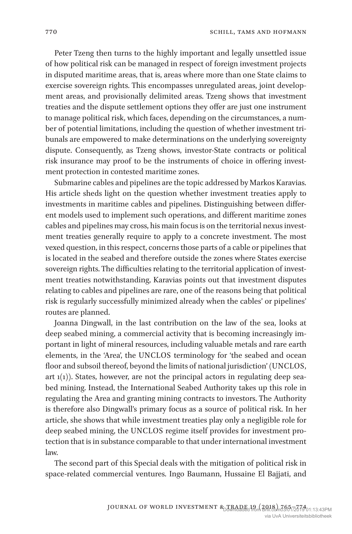Peter Tzeng then turns to the highly important and legally unsettled issue of how political risk can be managed in respect of foreign investment projects in disputed maritime areas, that is, areas where more than one State claims to exercise sovereign rights. This encompasses unregulated areas, joint development areas, and provisionally delimited areas. Tzeng shows that investment treaties and the dispute settlement options they offer are just one instrument to manage political risk, which faces, depending on the circumstances, a number of potential limitations, including the question of whether investment tribunals are empowered to make determinations on the underlying sovereignty dispute. Consequently, as Tzeng shows, investor-State contracts or political risk insurance may proof to be the instruments of choice in offering investment protection in contested maritime zones.

Submarine cables and pipelines are the topic addressed by Markos Karavias. His article sheds light on the question whether investment treaties apply to investments in maritime cables and pipelines. Distinguishing between different models used to implement such operations, and different maritime zones cables and pipelines may cross, his main focus is on the territorial nexus investment treaties generally require to apply to a concrete investment. The most vexed question, in this respect, concerns those parts of a cable or pipelines that is located in the seabed and therefore outside the zones where States exercise sovereign rights. The difficulties relating to the territorial application of investment treaties notwithstanding, Karavias points out that investment disputes relating to cables and pipelines are rare, one of the reasons being that political risk is regularly successfully minimized already when the cables' or pipelines' routes are planned.

Joanna Dingwall, in the last contribution on the law of the sea, looks at deep seabed mining, a commercial activity that is becoming increasingly important in light of mineral resources, including valuable metals and rare earth elements, in the 'Area', the UNCLOS terminology for 'the seabed and ocean floor and subsoil thereof, beyond the limits of national jurisdiction' (UNCLOS, art  $1(1)$ ). States, however, are not the principal actors in regulating deep seabed mining. Instead, the International Seabed Authority takes up this role in regulating the Area and granting mining contracts to investors. The Authority is therefore also Dingwall's primary focus as a source of political risk. In her article, she shows that while investment treaties play only a negligible role for deep seabed mining, the UNCLOS regime itself provides for investment protection that is in substance comparable to that under international investment law.

The second part of this Special deals with the mitigation of political risk in space-related commercial ventures. Ingo Baumann, Hussaine El Bajjati, and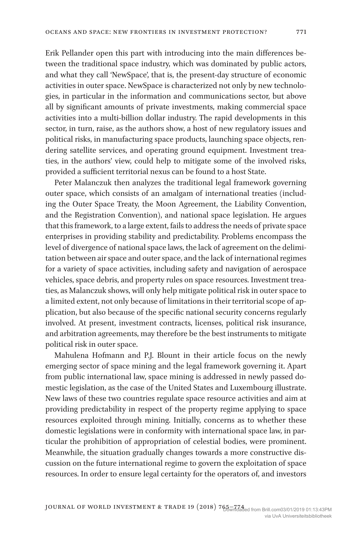Erik Pellander open this part with introducing into the main differences between the traditional space industry, which was dominated by public actors, and what they call 'NewSpace', that is, the present-day structure of economic activities in outer space. NewSpace is characterized not only by new technologies, in particular in the information and communications sector, but above all by significant amounts of private investments, making commercial space activities into a multi-billion dollar industry. The rapid developments in this sector, in turn, raise, as the authors show, a host of new regulatory issues and political risks, in manufacturing space products, launching space objects, rendering satellite services, and operating ground equipment. Investment treaties, in the authors' view, could help to mitigate some of the involved risks, provided a sufficient territorial nexus can be found to a host State.

Peter Malanczuk then analyzes the traditional legal framework governing outer space, which consists of an amalgam of international treaties (including the Outer Space Treaty, the Moon Agreement, the Liability Convention, and the Registration Convention), and national space legislation. He argues that this framework, to a large extent, fails to address the needs of private space enterprises in providing stability and predictability. Problems encompass the level of divergence of national space laws, the lack of agreement on the delimitation between air space and outer space, and the lack of international regimes for a variety of space activities, including safety and navigation of aerospace vehicles, space debris, and property rules on space resources. Investment treaties, as Malanczuk shows, will only help mitigate political risk in outer space to a limited extent, not only because of limitations in their territorial scope of application, but also because of the specific national security concerns regularly involved. At present, investment contracts, licenses, political risk insurance, and arbitration agreements, may therefore be the best instruments to mitigate political risk in outer space.

Mahulena Hofmann and P.J. Blount in their article focus on the newly emerging sector of space mining and the legal framework governing it. Apart from public international law, space mining is addressed in newly passed domestic legislation, as the case of the United States and Luxembourg illustrate. New laws of these two countries regulate space resource activities and aim at providing predictability in respect of the property regime applying to space resources exploited through mining. Initially, concerns as to whether these domestic legislations were in conformity with international space law, in particular the prohibition of appropriation of celestial bodies, were prominent. Meanwhile, the situation gradually changes towards a more constructive discussion on the future international regime to govern the exploitation of space resources. In order to ensure legal certainty for the operators of, and investors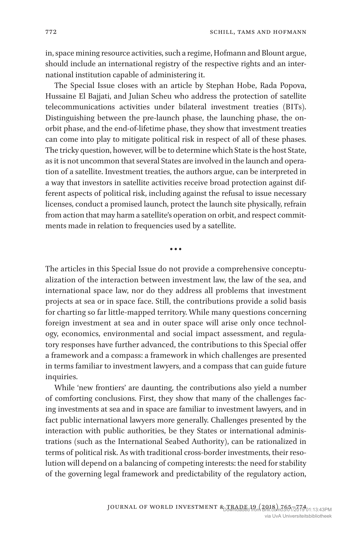772 Schill, Tams and Hofmann

in, space mining resource activities, such a regime, Hofmann and Blount argue, should include an international registry of the respective rights and an international institution capable of administering it.

The Special Issue closes with an article by Stephan Hobe, Rada Popova, Hussaine El Bajjati, and Julian Scheu who address the protection of satellite telecommunications activities under bilateral investment treaties (BITs). Distinguishing between the pre-launch phase, the launching phase, the onorbit phase, and the end-of-lifetime phase, they show that investment treaties can come into play to mitigate political risk in respect of all of these phases. The tricky question, however, will be to determine which State is the host State, as it is not uncommon that several States are involved in the launch and operation of a satellite. Investment treaties, the authors argue, can be interpreted in a way that investors in satellite activities receive broad protection against different aspects of political risk, including against the refusal to issue necessary licenses, conduct a promised launch, protect the launch site physically, refrain from action that may harm a satellite's operation on orbit, and respect commitments made in relation to frequencies used by a satellite.

…

The articles in this Special Issue do not provide a comprehensive conceptualization of the interaction between investment law, the law of the sea, and international space law, nor do they address all problems that investment projects at sea or in space face. Still, the contributions provide a solid basis for charting so far little-mapped territory. While many questions concerning foreign investment at sea and in outer space will arise only once technology, economics, environmental and social impact assessment, and regulatory responses have further advanced, the contributions to this Special offer a framework and a compass: a framework in which challenges are presented in terms familiar to investment lawyers, and a compass that can guide future inquiries.

While 'new frontiers' are daunting, the contributions also yield a number of comforting conclusions. First, they show that many of the challenges facing investments at sea and in space are familiar to investment lawyers, and in fact public international lawyers more generally. Challenges presented by the interaction with public authorities, be they States or international administrations (such as the International Seabed Authority), can be rationalized in terms of political risk. As with traditional cross-border investments, their resolution will depend on a balancing of competing interests: the need for stability of the governing legal framework and predictability of the regulatory action,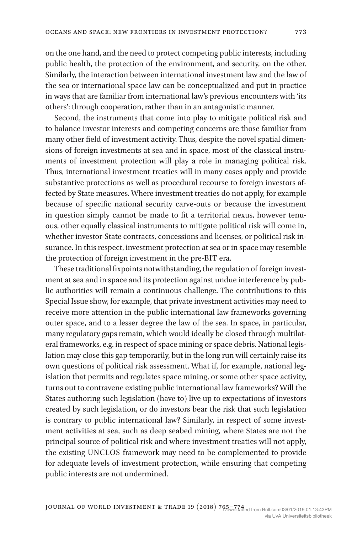on the one hand, and the need to protect competing public interests, including public health, the protection of the environment, and security, on the other. Similarly, the interaction between international investment law and the law of the sea or international space law can be conceptualized and put in practice in ways that are familiar from international law's previous encounters with 'its others': through cooperation, rather than in an antagonistic manner.

Second, the instruments that come into play to mitigate political risk and to balance investor interests and competing concerns are those familiar from many other field of investment activity. Thus, despite the novel spatial dimensions of foreign investments at sea and in space, most of the classical instruments of investment protection will play a role in managing political risk. Thus, international investment treaties will in many cases apply and provide substantive protections as well as procedural recourse to foreign investors affected by State measures. Where investment treaties do not apply, for example because of specific national security carve-outs or because the investment in question simply cannot be made to fit a territorial nexus, however tenuous, other equally classical instruments to mitigate political risk will come in, whether investor-State contracts, concessions and licenses, or political risk insurance. In this respect, investment protection at sea or in space may resemble the protection of foreign investment in the pre-BIT era.

These traditional fixpoints notwithstanding, the regulation of foreign investment at sea and in space and its protection against undue interference by public authorities will remain a continuous challenge. The contributions to this Special Issue show, for example, that private investment activities may need to receive more attention in the public international law frameworks governing outer space, and to a lesser degree the law of the sea. In space, in particular, many regulatory gaps remain, which would ideally be closed through multilateral frameworks, e.g. in respect of space mining or space debris. National legislation may close this gap temporarily, but in the long run will certainly raise its own questions of political risk assessment. What if, for example, national legislation that permits and regulates space mining, or some other space activity, turns out to contravene existing public international law frameworks? Will the States authoring such legislation (have to) live up to expectations of investors created by such legislation, or do investors bear the risk that such legislation is contrary to public international law? Similarly, in respect of some investment activities at sea, such as deep seabed mining, where States are not the principal source of political risk and where investment treaties will not apply, the existing UNCLOS framework may need to be complemented to provide for adequate levels of investment protection, while ensuring that competing public interests are not undermined.